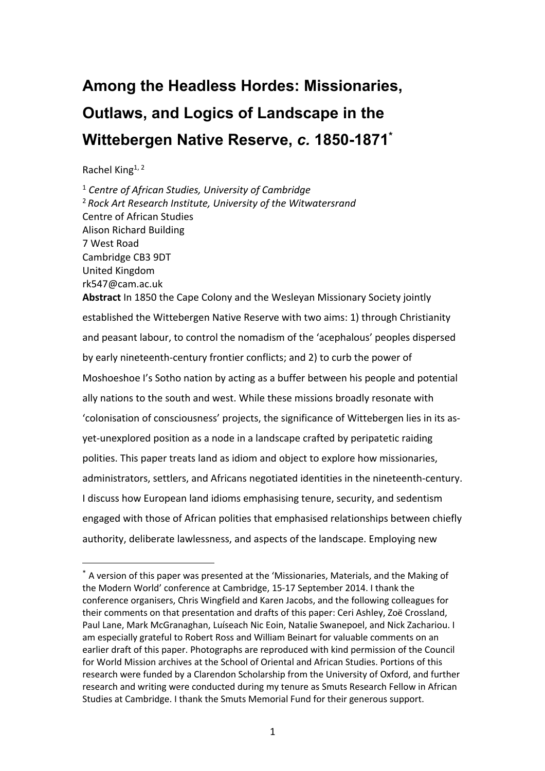# **Among the Headless Hordes: Missionaries, Outlaws, and Logics of Landscape in the Wittebergen Native Reserve,** *c.* **1850-1871\***

Rachel King<sup>1, 2</sup>

<sup>1</sup> *Centre of African Studies, University of Cambridge* <sup>2</sup> *Rock Art Research Institute, University of the Witwatersrand* Centre of African Studies Alison Richard Building 7 West Road Cambridge CB3 9DT United Kingdom rk547@cam.ac.uk **Abstract** In 1850 the Cape Colony and the Wesleyan Missionary Society jointly established the Wittebergen Native Reserve with two aims: 1) through Christianity and peasant labour, to control the nomadism of the 'acephalous' peoples dispersed by early nineteenth-century frontier conflicts; and 2) to curb the power of Moshoeshoe I's Sotho nation by acting as a buffer between his people and potential ally nations to the south and west. While these missions broadly resonate with 'colonisation of consciousness' projects, the significance of Wittebergen lies in its asyet-unexplored position as a node in a landscape crafted by peripatetic raiding

polities. This paper treats land as idiom and object to explore how missionaries, administrators, settlers, and Africans negotiated identities in the nineteenth-century. I discuss how European land idioms emphasising tenure, security, and sedentism engaged with those of African polities that emphasised relationships between chiefly authority, deliberate lawlessness, and aspects of the landscape. Employing new

<sup>\*</sup> A version of this paper was presented at the 'Missionaries, Materials, and the Making of the Modern World' conference at Cambridge, 15-17 September 2014. I thank the conference organisers, Chris Wingfield and Karen Jacobs, and the following colleagues for their comments on that presentation and drafts of this paper: Ceri Ashley, Zoë Crossland, Paul Lane, Mark McGranaghan, Luíseach Nic Eoin, Natalie Swanepoel, and Nick Zachariou. I am especially grateful to Robert Ross and William Beinart for valuable comments on an earlier draft of this paper. Photographs are reproduced with kind permission of the Council for World Mission archives at the School of Oriental and African Studies. Portions of this research were funded by a Clarendon Scholarship from the University of Oxford, and further research and writing were conducted during my tenure as Smuts Research Fellow in African Studies at Cambridge. I thank the Smuts Memorial Fund for their generous support.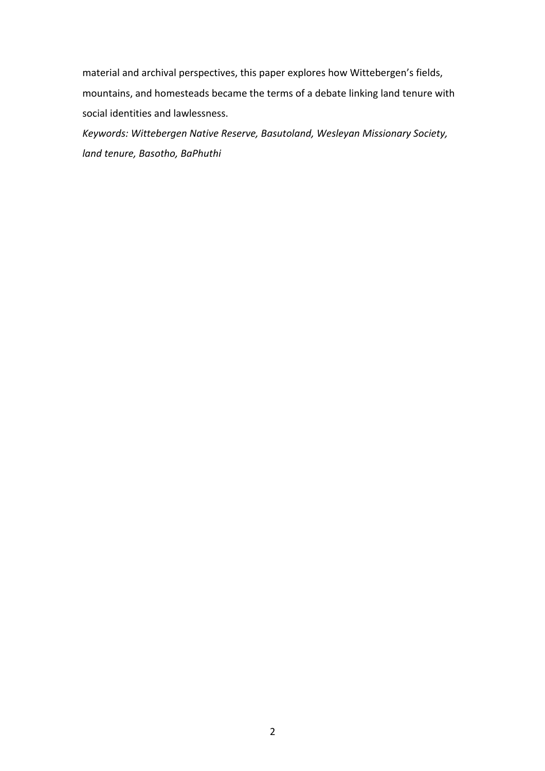material and archival perspectives, this paper explores how Wittebergen's fields, mountains, and homesteads became the terms of a debate linking land tenure with social identities and lawlessness.

*Keywords: Wittebergen Native Reserve, Basutoland, Wesleyan Missionary Society, land tenure, Basotho, BaPhuthi*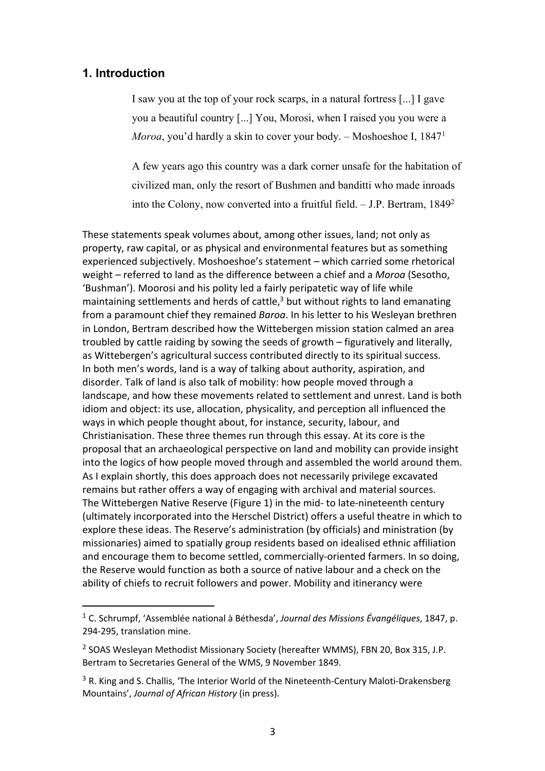#### **1. Introduction**

I saw you at the top of your rock scarps, in a natural fortress [...] I gave you a beautiful country [...] You, Morosi, when I raised you you were a *Moroa*, you'd hardly a skin to cover your body. – Moshoeshoe I, 1847<sup>1</sup>

A few years ago this country was a dark corner unsafe for the habitation of civilized man, only the resort of Bushmen and banditti who made inroads into the Colony, now converted into a fruitful field.  $-$  J.P. Bertram,  $1849<sup>2</sup>$ 

These statements speak volumes about, among other issues, land; not only as property, raw capital, or as physical and environmental features but as something experienced subjectively. Moshoeshoe's statement – which carried some rhetorical weight – referred to land as the difference between a chief and a *Moroa* (Sesotho, 'Bushman'). Moorosi and his polity led a fairly peripatetic way of life while maintaining settlements and herds of cattle, $3$  but without rights to land emanating from a paramount chief they remained *Baroa*. In his letter to his Wesleyan brethren in London, Bertram described how the Wittebergen mission station calmed an area troubled by cattle raiding by sowing the seeds of growth – figuratively and literally, as Wittebergen's agricultural success contributed directly to its spiritual success. In both men's words, land is a way of talking about authority, aspiration, and disorder. Talk of land is also talk of mobility: how people moved through a landscape, and how these movements related to settlement and unrest. Land is both idiom and object: its use, allocation, physicality, and perception all influenced the ways in which people thought about, for instance, security, labour, and Christianisation. These three themes run through this essay. At its core is the proposal that an archaeological perspective on land and mobility can provide insight into the logics of how people moved through and assembled the world around them. As I explain shortly, this does approach does not necessarily privilege excavated remains but rather offers a way of engaging with archival and material sources. The Wittebergen Native Reserve (Figure 1) in the mid- to late-nineteenth century (ultimately incorporated into the Herschel District) offers a useful theatre in which to explore these ideas. The Reserve's administration (by officials) and ministration (by missionaries) aimed to spatially group residents based on idealised ethnic affiliation and encourage them to become settled, commercially-oriented farmers. In so doing, the Reserve would function as both a source of native labour and a check on the ability of chiefs to recruit followers and power. Mobility and itinerancy were

<sup>1</sup> C. Schrumpf, 'Assemblée national à Béthesda', *Journal des Missions Évangéliques*, 1847, p. 294-295, translation mine.

<sup>&</sup>lt;sup>2</sup> SOAS Wesleyan Methodist Missionary Society (hereafter WMMS), FBN 20, Box 315, J.P. Bertram to Secretaries General of the WMS, 9 November 1849.

 $3$  R. King and S. Challis, 'The Interior World of the Nineteenth-Century Maloti-Drakensberg Mountains', *Journal of African History* (in press).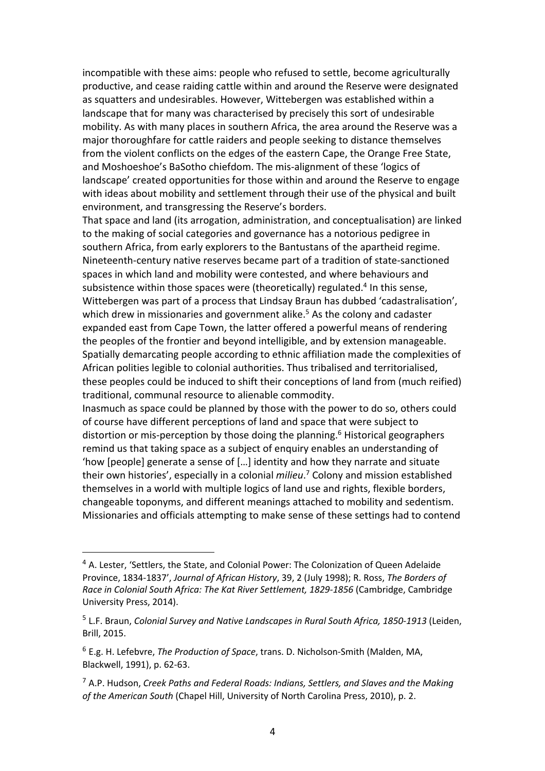incompatible with these aims: people who refused to settle, become agriculturally productive, and cease raiding cattle within and around the Reserve were designated as squatters and undesirables. However, Wittebergen was established within a landscape that for many was characterised by precisely this sort of undesirable mobility. As with many places in southern Africa, the area around the Reserve was a major thoroughfare for cattle raiders and people seeking to distance themselves from the violent conflicts on the edges of the eastern Cape, the Orange Free State, and Moshoeshoe's BaSotho chiefdom. The mis-alignment of these 'logics of landscape' created opportunities for those within and around the Reserve to engage with ideas about mobility and settlement through their use of the physical and built environment, and transgressing the Reserve's borders.

That space and land (its arrogation, administration, and conceptualisation) are linked to the making of social categories and governance has a notorious pedigree in southern Africa, from early explorers to the Bantustans of the apartheid regime. Nineteenth-century native reserves became part of a tradition of state-sanctioned spaces in which land and mobility were contested, and where behaviours and subsistence within those spaces were (theoretically) regulated.<sup>4</sup> In this sense, Wittebergen was part of a process that Lindsay Braun has dubbed 'cadastralisation', which drew in missionaries and government alike.<sup>5</sup> As the colony and cadaster expanded east from Cape Town, the latter offered a powerful means of rendering the peoples of the frontier and beyond intelligible, and by extension manageable. Spatially demarcating people according to ethnic affiliation made the complexities of African polities legible to colonial authorities. Thus tribalised and territorialised, these peoples could be induced to shift their conceptions of land from (much reified) traditional, communal resource to alienable commodity.

Inasmuch as space could be planned by those with the power to do so, others could of course have different perceptions of land and space that were subject to distortion or mis-perception by those doing the planning.<sup>6</sup> Historical geographers remind us that taking space as a subject of enquiry enables an understanding of 'how [people] generate a sense of […] identity and how they narrate and situate their own histories', especially in a colonial *milieu*. <sup>7</sup> Colony and mission established themselves in a world with multiple logics of land use and rights, flexible borders, changeable toponyms, and different meanings attached to mobility and sedentism. Missionaries and officials attempting to make sense of these settings had to contend

<sup>4</sup> A. Lester, 'Settlers, the State, and Colonial Power: The Colonization of Queen Adelaide Province, 1834-1837', *Journal of African History*, 39, 2 (July 1998); R. Ross, *The Borders of Race in Colonial South Africa: The Kat River Settlement, 1829-1856* (Cambridge, Cambridge University Press, 2014).

<sup>5</sup> L.F. Braun, *Colonial Survey and Native Landscapes in Rural South Africa, 1850-1913* (Leiden, Brill, 2015.

<sup>6</sup> E.g. H. Lefebvre, *The Production of Space*, trans. D. Nicholson-Smith (Malden, MA, Blackwell, 1991), p. 62-63.

<sup>7</sup> A.P. Hudson, *Creek Paths and Federal Roads: Indians, Settlers, and Slaves and the Making of the American South* (Chapel Hill, University of North Carolina Press, 2010), p. 2.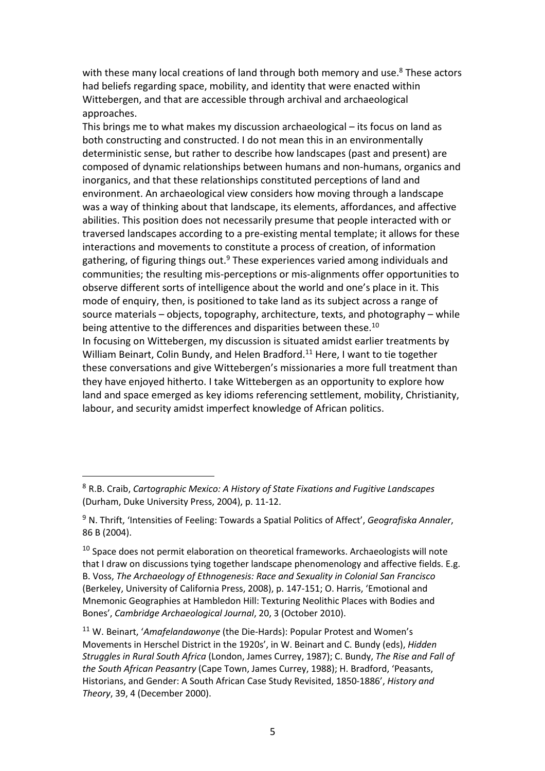with these many local creations of land through both memory and use.<sup>8</sup> These actors had beliefs regarding space, mobility, and identity that were enacted within Wittebergen, and that are accessible through archival and archaeological approaches.

This brings me to what makes my discussion archaeological – its focus on land as both constructing and constructed. I do not mean this in an environmentally deterministic sense, but rather to describe how landscapes (past and present) are composed of dynamic relationships between humans and non-humans, organics and inorganics, and that these relationships constituted perceptions of land and environment. An archaeological view considers how moving through a landscape was a way of thinking about that landscape, its elements, affordances, and affective abilities. This position does not necessarily presume that people interacted with or traversed landscapes according to a pre-existing mental template; it allows for these interactions and movements to constitute a process of creation, of information gathering, of figuring things out.<sup>9</sup> These experiences varied among individuals and communities; the resulting mis-perceptions or mis-alignments offer opportunities to observe different sorts of intelligence about the world and one's place in it. This mode of enquiry, then, is positioned to take land as its subject across a range of source materials – objects, topography, architecture, texts, and photography – while being attentive to the differences and disparities between these.<sup>10</sup> In focusing on Wittebergen, my discussion is situated amidst earlier treatments by William Beinart, Colin Bundy, and Helen Bradford.<sup>11</sup> Here, I want to tie together these conversations and give Wittebergen's missionaries a more full treatment than they have enjoyed hitherto. I take Wittebergen as an opportunity to explore how land and space emerged as key idioms referencing settlement, mobility, Christianity, labour, and security amidst imperfect knowledge of African politics.

<sup>8</sup> R.B. Craib, *Cartographic Mexico: A History of State Fixations and Fugitive Landscapes* (Durham, Duke University Press, 2004), p. 11-12.

<sup>9</sup> N. Thrift, 'Intensities of Feeling: Towards a Spatial Politics of Affect', *Geografiska Annaler*, 86 B (2004).

 $10$  Space does not permit elaboration on theoretical frameworks. Archaeologists will note that I draw on discussions tying together landscape phenomenology and affective fields. E.g. B. Voss, *The Archaeology of Ethnogenesis: Race and Sexuality in Colonial San Francisco*  (Berkeley, University of California Press, 2008), p. 147-151; O. Harris, 'Emotional and Mnemonic Geographies at Hambledon Hill: Texturing Neolithic Places with Bodies and Bones', *Cambridge Archaeological Journal*, 20, 3 (October 2010).

<sup>11</sup> W. Beinart, '*Amafelandawonye* (the Die-Hards): Popular Protest and Women's Movements in Herschel District in the 1920s', in W. Beinart and C. Bundy (eds), *Hidden Struggles in Rural South Africa* (London, James Currey, 1987); C. Bundy, *The Rise and Fall of the South African Peasantry* (Cape Town, James Currey, 1988); H. Bradford, 'Peasants, Historians, and Gender: A South African Case Study Revisited, 1850-1886', *History and Theory*, 39, 4 (December 2000).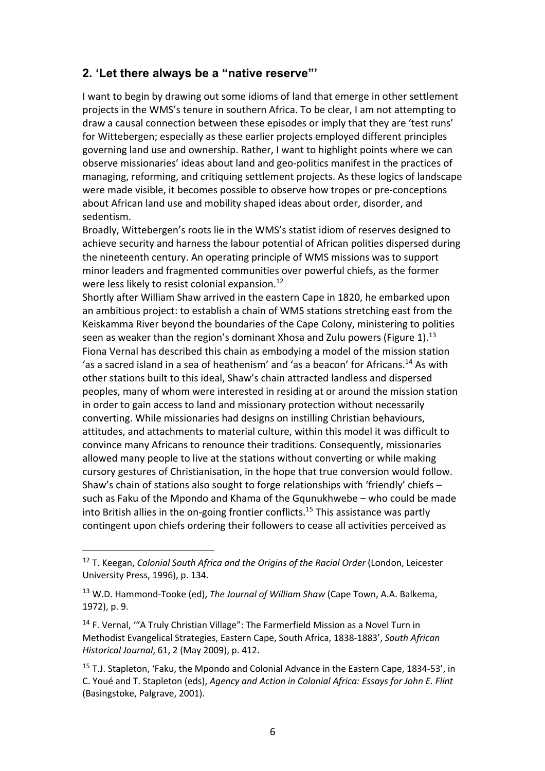# **2. 'Let there always be a "native reserve"'**

I want to begin by drawing out some idioms of land that emerge in other settlement projects in the WMS's tenure in southern Africa. To be clear, I am not attempting to draw a causal connection between these episodes or imply that they are 'test runs' for Wittebergen; especially as these earlier projects employed different principles governing land use and ownership. Rather, I want to highlight points where we can observe missionaries' ideas about land and geo-politics manifest in the practices of managing, reforming, and critiquing settlement projects. As these logics of landscape were made visible, it becomes possible to observe how tropes or pre-conceptions about African land use and mobility shaped ideas about order, disorder, and sedentism.

Broadly, Wittebergen's roots lie in the WMS's statist idiom of reserves designed to achieve security and harness the labour potential of African polities dispersed during the nineteenth century. An operating principle of WMS missions was to support minor leaders and fragmented communities over powerful chiefs, as the former were less likely to resist colonial expansion.<sup>12</sup>

Shortly after William Shaw arrived in the eastern Cape in 1820, he embarked upon an ambitious project: to establish a chain of WMS stations stretching east from the Keiskamma River beyond the boundaries of the Cape Colony, ministering to polities seen as weaker than the region's dominant Xhosa and Zulu powers (Figure 1).<sup>13</sup> Fiona Vernal has described this chain as embodying a model of the mission station 'as a sacred island in a sea of heathenism' and 'as a beacon' for Africans.14 As with other stations built to this ideal, Shaw's chain attracted landless and dispersed peoples, many of whom were interested in residing at or around the mission station in order to gain access to land and missionary protection without necessarily converting. While missionaries had designs on instilling Christian behaviours, attitudes, and attachments to material culture, within this model it was difficult to convince many Africans to renounce their traditions. Consequently, missionaries allowed many people to live at the stations without converting or while making cursory gestures of Christianisation, in the hope that true conversion would follow. Shaw's chain of stations also sought to forge relationships with 'friendly' chiefs – such as Faku of the Mpondo and Khama of the Gqunukhwebe – who could be made into British allies in the on-going frontier conflicts.<sup>15</sup> This assistance was partly contingent upon chiefs ordering their followers to cease all activities perceived as

<sup>12</sup> T. Keegan, *Colonial South Africa and the Origins of the Racial Order* (London, Leicester University Press, 1996), p. 134.

<sup>13</sup> W.D. Hammond-Tooke (ed), *The Journal of William Shaw* (Cape Town, A.A. Balkema, 1972), p. 9.

<sup>&</sup>lt;sup>14</sup> F. Vernal, ""A Truly Christian Village": The Farmerfield Mission as a Novel Turn in Methodist Evangelical Strategies, Eastern Cape, South Africa, 1838-1883', *South African Historical Journal*, 61, 2 (May 2009), p. 412.

<sup>&</sup>lt;sup>15</sup> T.J. Stapleton, 'Faku, the Mpondo and Colonial Advance in the Eastern Cape, 1834-53', in C. Youé and T. Stapleton (eds), *Agency and Action in Colonial Africa: Essays for John E. Flint* (Basingstoke, Palgrave, 2001).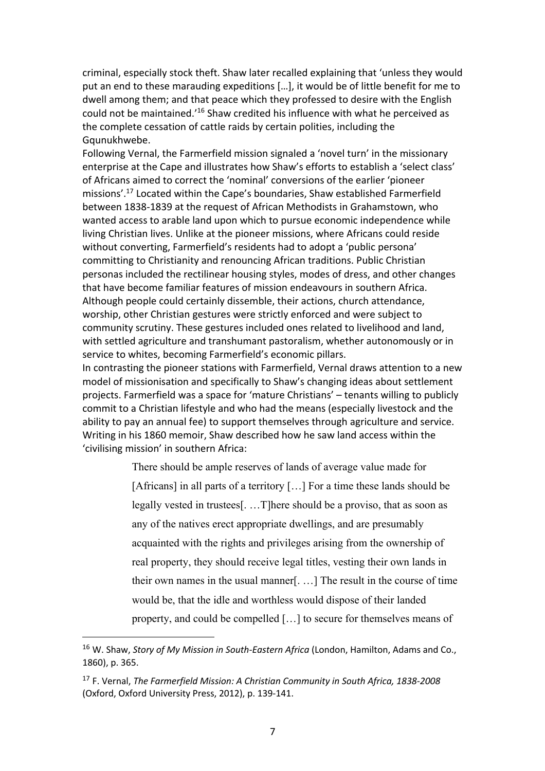criminal, especially stock theft. Shaw later recalled explaining that 'unless they would put an end to these marauding expeditions […], it would be of little benefit for me to dwell among them; and that peace which they professed to desire with the English could not be maintained.'16 Shaw credited his influence with what he perceived as the complete cessation of cattle raids by certain polities, including the Gqunukhwebe.

Following Vernal, the Farmerfield mission signaled a 'novel turn' in the missionary enterprise at the Cape and illustrates how Shaw's efforts to establish a 'select class' of Africans aimed to correct the 'nominal' conversions of the earlier 'pioneer missions'.17 Located within the Cape's boundaries, Shaw established Farmerfield between 1838-1839 at the request of African Methodists in Grahamstown, who wanted access to arable land upon which to pursue economic independence while living Christian lives. Unlike at the pioneer missions, where Africans could reside without converting, Farmerfield's residents had to adopt a 'public persona' committing to Christianity and renouncing African traditions. Public Christian personas included the rectilinear housing styles, modes of dress, and other changes that have become familiar features of mission endeavours in southern Africa. Although people could certainly dissemble, their actions, church attendance, worship, other Christian gestures were strictly enforced and were subject to community scrutiny. These gestures included ones related to livelihood and land, with settled agriculture and transhumant pastoralism, whether autonomously or in service to whites, becoming Farmerfield's economic pillars.

In contrasting the pioneer stations with Farmerfield, Vernal draws attention to a new model of missionisation and specifically to Shaw's changing ideas about settlement projects. Farmerfield was a space for 'mature Christians' – tenants willing to publicly commit to a Christian lifestyle and who had the means (especially livestock and the ability to pay an annual fee) to support themselves through agriculture and service. Writing in his 1860 memoir, Shaw described how he saw land access within the 'civilising mission' in southern Africa:

> There should be ample reserves of lands of average value made for [Africans] in all parts of a territory [...] For a time these lands should be legally vested in trustees[. …T]here should be a proviso, that as soon as any of the natives erect appropriate dwellings, and are presumably acquainted with the rights and privileges arising from the ownership of real property, they should receive legal titles, vesting their own lands in their own names in the usual manner[. …] The result in the course of time would be, that the idle and worthless would dispose of their landed property, and could be compelled […] to secure for themselves means of

<sup>16</sup> W. Shaw, *Story of My Mission in South-Eastern Africa* (London, Hamilton, Adams and Co., 1860), p. 365.

<sup>17</sup> F. Vernal, *The Farmerfield Mission: A Christian Community in South Africa, 1838-2008* (Oxford, Oxford University Press, 2012), p. 139-141.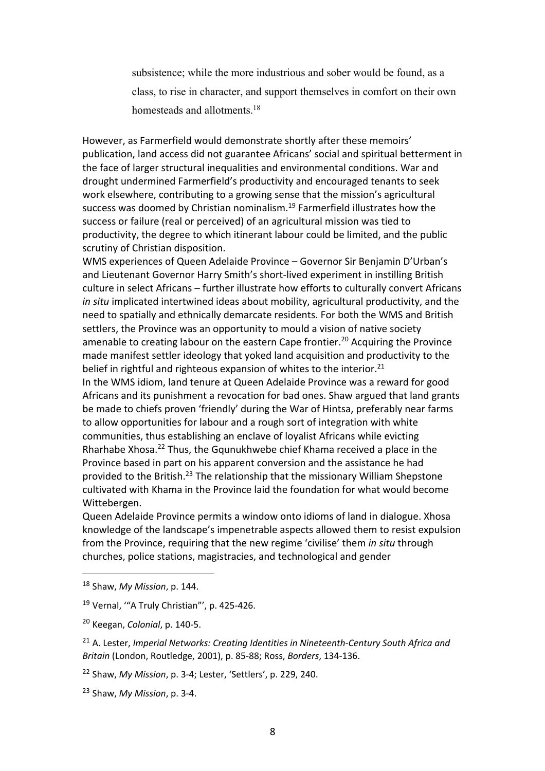subsistence; while the more industrious and sober would be found, as a class, to rise in character, and support themselves in comfort on their own homesteads and allotments.<sup>18</sup>

However, as Farmerfield would demonstrate shortly after these memoirs' publication, land access did not guarantee Africans' social and spiritual betterment in the face of larger structural inequalities and environmental conditions. War and drought undermined Farmerfield's productivity and encouraged tenants to seek work elsewhere, contributing to a growing sense that the mission's agricultural success was doomed by Christian nominalism.19 Farmerfield illustrates how the success or failure (real or perceived) of an agricultural mission was tied to productivity, the degree to which itinerant labour could be limited, and the public scrutiny of Christian disposition.

WMS experiences of Queen Adelaide Province – Governor Sir Benjamin D'Urban's and Lieutenant Governor Harry Smith's short-lived experiment in instilling British culture in select Africans – further illustrate how efforts to culturally convert Africans *in situ* implicated intertwined ideas about mobility, agricultural productivity, and the need to spatially and ethnically demarcate residents. For both the WMS and British settlers, the Province was an opportunity to mould a vision of native society amenable to creating labour on the eastern Cape frontier.<sup>20</sup> Acquiring the Province made manifest settler ideology that yoked land acquisition and productivity to the belief in rightful and righteous expansion of whites to the interior.<sup>21</sup> In the WMS idiom, land tenure at Queen Adelaide Province was a reward for good Africans and its punishment a revocation for bad ones. Shaw argued that land grants be made to chiefs proven 'friendly' during the War of Hintsa, preferably near farms to allow opportunities for labour and a rough sort of integration with white communities, thus establishing an enclave of loyalist Africans while evicting

Rharhabe Xhosa.22 Thus, the Gqunukhwebe chief Khama received a place in the Province based in part on his apparent conversion and the assistance he had provided to the British.23 The relationship that the missionary William Shepstone cultivated with Khama in the Province laid the foundation for what would become Wittebergen.

Queen Adelaide Province permits a window onto idioms of land in dialogue. Xhosa knowledge of the landscape's impenetrable aspects allowed them to resist expulsion from the Province, requiring that the new regime 'civilise' them *in situ* through churches, police stations, magistracies, and technological and gender

<sup>18</sup> Shaw, *My Mission*, p. 144.

<sup>19</sup> Vernal, '"A Truly Christian"', p. 425-426.

<sup>20</sup> Keegan, *Colonial*, p. 140-5.

<sup>21</sup> A. Lester, *Imperial Networks: Creating Identities in Nineteenth-Century South Africa and Britain* (London, Routledge, 2001), p. 85-88; Ross, *Borders*, 134-136.

<sup>22</sup> Shaw, *My Mission*, p. 3-4; Lester, 'Settlers', p. 229, 240.

<sup>23</sup> Shaw, *My Mission*, p. 3-4.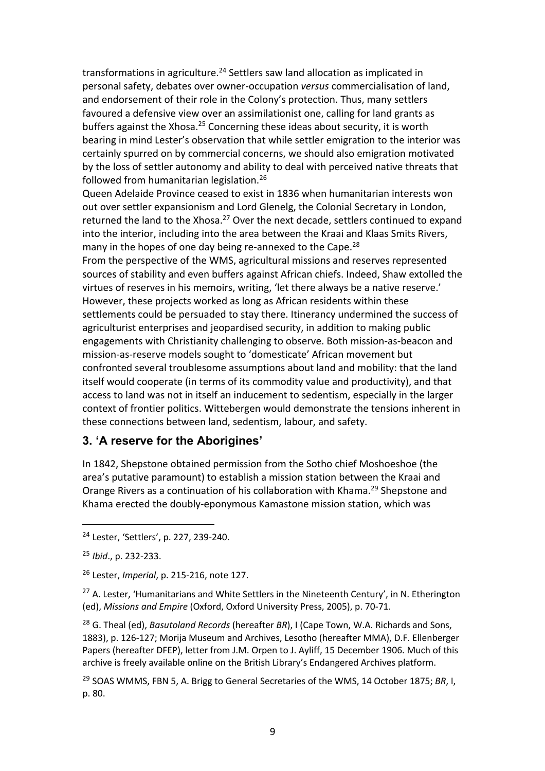transformations in agriculture.<sup>24</sup> Settlers saw land allocation as implicated in personal safety, debates over owner-occupation *versus* commercialisation of land, and endorsement of their role in the Colony's protection. Thus, many settlers favoured a defensive view over an assimilationist one, calling for land grants as buffers against the Xhosa.<sup>25</sup> Concerning these ideas about security, it is worth bearing in mind Lester's observation that while settler emigration to the interior was certainly spurred on by commercial concerns, we should also emigration motivated by the loss of settler autonomy and ability to deal with perceived native threats that followed from humanitarian legislation.26

Queen Adelaide Province ceased to exist in 1836 when humanitarian interests won out over settler expansionism and Lord Glenelg, the Colonial Secretary in London, returned the land to the Xhosa.<sup>27</sup> Over the next decade, settlers continued to expand into the interior, including into the area between the Kraai and Klaas Smits Rivers, many in the hopes of one day being re-annexed to the Cape.<sup>28</sup>

From the perspective of the WMS, agricultural missions and reserves represented sources of stability and even buffers against African chiefs. Indeed, Shaw extolled the virtues of reserves in his memoirs, writing, 'let there always be a native reserve.' However, these projects worked as long as African residents within these settlements could be persuaded to stay there. Itinerancy undermined the success of agriculturist enterprises and jeopardised security, in addition to making public engagements with Christianity challenging to observe. Both mission-as-beacon and mission-as-reserve models sought to 'domesticate' African movement but confronted several troublesome assumptions about land and mobility: that the land itself would cooperate (in terms of its commodity value and productivity), and that access to land was not in itself an inducement to sedentism, especially in the larger context of frontier politics. Wittebergen would demonstrate the tensions inherent in these connections between land, sedentism, labour, and safety.

#### **3. 'A reserve for the Aborigines'**

In 1842, Shepstone obtained permission from the Sotho chief Moshoeshoe (the area's putative paramount) to establish a mission station between the Kraai and Orange Rivers as a continuation of his collaboration with Khama.<sup>29</sup> Shepstone and Khama erected the doubly-eponymous Kamastone mission station, which was

<sup>28</sup> G. Theal (ed), *Basutoland Records* (hereafter *BR*), I (Cape Town, W.A. Richards and Sons, 1883), p. 126-127; Morija Museum and Archives, Lesotho (hereafter MMA), D.F. Ellenberger Papers (hereafter DFEP), letter from J.M. Orpen to J. Ayliff, 15 December 1906. Much of this archive is freely available online on the British Library's Endangered Archives platform.

<sup>29</sup> SOAS WMMS, FBN 5, A. Brigg to General Secretaries of the WMS, 14 October 1875; *BR*, I, p. 80.

<sup>24</sup> Lester, 'Settlers', p. 227, 239-240.

<sup>25</sup> *Ibid*., p. 232-233.

<sup>26</sup> Lester, *Imperial*, p. 215-216, note 127.

 $27$  A. Lester, 'Humanitarians and White Settlers in the Nineteenth Century', in N. Etherington (ed), *Missions and Empire* (Oxford, Oxford University Press, 2005), p. 70-71.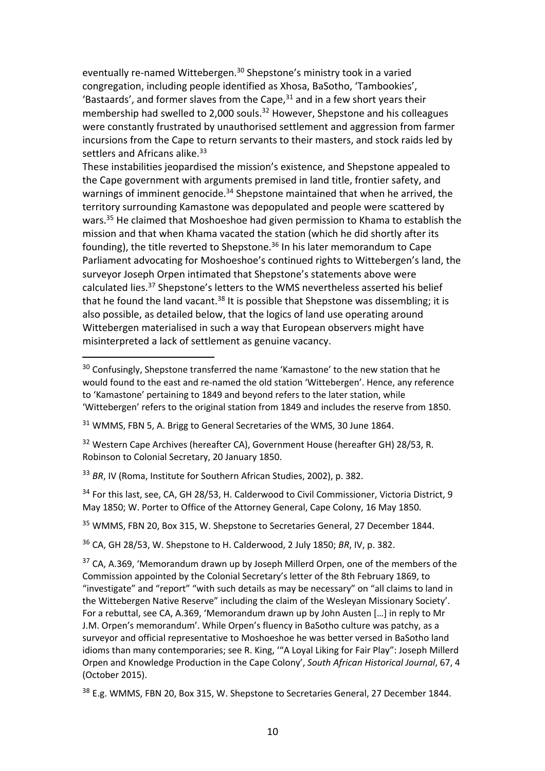eventually re-named Wittebergen.<sup>30</sup> Shepstone's ministry took in a varied congregation, including people identified as Xhosa, BaSotho, 'Tambookies', 'Bastaards', and former slaves from the Cape, $31$  and in a few short years their membership had swelled to 2,000 souls.<sup>32</sup> However, Shepstone and his colleagues were constantly frustrated by unauthorised settlement and aggression from farmer incursions from the Cape to return servants to their masters, and stock raids led by settlers and Africans alike.<sup>33</sup>

These instabilities jeopardised the mission's existence, and Shepstone appealed to the Cape government with arguments premised in land title, frontier safety, and warnings of imminent genocide.<sup>34</sup> Shepstone maintained that when he arrived, the territory surrounding Kamastone was depopulated and people were scattered by wars. <sup>35</sup> He claimed that Moshoeshoe had given permission to Khama to establish the mission and that when Khama vacated the station (which he did shortly after its founding), the title reverted to Shepstone. $36$  In his later memorandum to Cape Parliament advocating for Moshoeshoe's continued rights to Wittebergen's land, the surveyor Joseph Orpen intimated that Shepstone's statements above were calculated lies.37 Shepstone's letters to the WMS nevertheless asserted his belief that he found the land vacant.<sup>38</sup> It is possible that Shepstone was dissembling; it is also possible, as detailed below, that the logics of land use operating around Wittebergen materialised in such a way that European observers might have misinterpreted a lack of settlement as genuine vacancy.

<sup>36</sup> CA, GH 28/53, W. Shepstone to H. Calderwood, 2 July 1850; *BR*, IV, p. 382.

<sup>&</sup>lt;sup>30</sup> Confusingly, Shepstone transferred the name 'Kamastone' to the new station that he would found to the east and re-named the old station 'Wittebergen'. Hence, any reference to 'Kamastone' pertaining to 1849 and beyond refers to the later station, while 'Wittebergen' refers to the original station from 1849 and includes the reserve from 1850.

<sup>&</sup>lt;sup>31</sup> WMMS, FBN 5, A. Brigg to General Secretaries of the WMS, 30 June 1864.

<sup>&</sup>lt;sup>32</sup> Western Cape Archives (hereafter CA), Government House (hereafter GH) 28/53, R. Robinson to Colonial Secretary, 20 January 1850.

<sup>33</sup> *BR*, IV (Roma, Institute for Southern African Studies, 2002), p. 382.

<sup>&</sup>lt;sup>34</sup> For this last, see, CA, GH 28/53, H. Calderwood to Civil Commissioner, Victoria District, 9 May 1850; W. Porter to Office of the Attorney General, Cape Colony, 16 May 1850.

<sup>35</sup> WMMS, FBN 20, Box 315, W. Shepstone to Secretaries General, 27 December 1844.

 $37$  CA, A.369, 'Memorandum drawn up by Joseph Millerd Orpen, one of the members of the Commission appointed by the Colonial Secretary's letter of the 8th February 1869, to "investigate" and "report" "with such details as may be necessary" on "all claims to land in the Wittebergen Native Reserve" including the claim of the Wesleyan Missionary Society'. For a rebuttal, see CA, A.369, 'Memorandum drawn up by John Austen […] in reply to Mr J.M. Orpen's memorandum'. While Orpen's fluency in BaSotho culture was patchy, as a surveyor and official representative to Moshoeshoe he was better versed in BaSotho land idioms than many contemporaries; see R. King, '"A Loyal Liking for Fair Play": Joseph Millerd Orpen and Knowledge Production in the Cape Colony', *South African Historical Journal*, 67, 4 (October 2015).

<sup>38</sup> E.g. WMMS, FBN 20, Box 315, W. Shepstone to Secretaries General, 27 December 1844.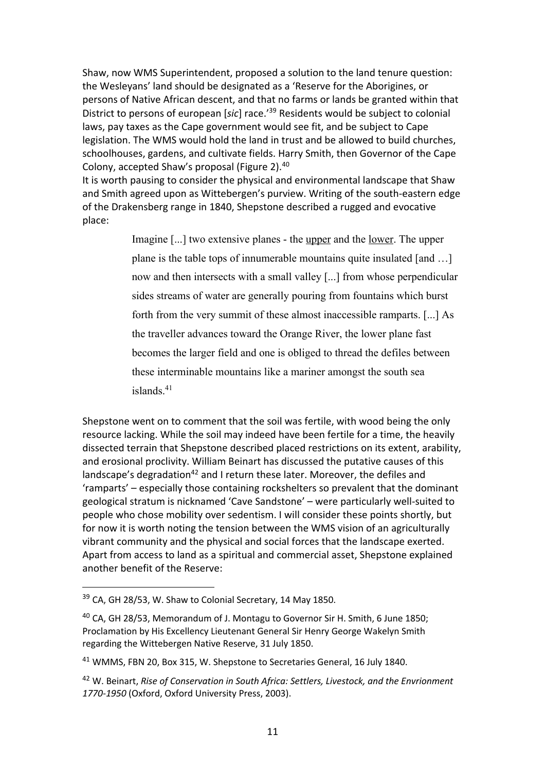Shaw, now WMS Superintendent, proposed a solution to the land tenure question: the Wesleyans' land should be designated as a 'Reserve for the Aborigines, or persons of Native African descent, and that no farms or lands be granted within that District to persons of european [*sic*] race.'39 Residents would be subject to colonial laws, pay taxes as the Cape government would see fit, and be subject to Cape legislation. The WMS would hold the land in trust and be allowed to build churches, schoolhouses, gardens, and cultivate fields. Harry Smith, then Governor of the Cape Colony, accepted Shaw's proposal (Figure 2).40

It is worth pausing to consider the physical and environmental landscape that Shaw and Smith agreed upon as Wittebergen's purview. Writing of the south-eastern edge of the Drakensberg range in 1840, Shepstone described a rugged and evocative place:

> Imagine [...] two extensive planes - the upper and the lower. The upper plane is the table tops of innumerable mountains quite insulated [and …] now and then intersects with a small valley [...] from whose perpendicular sides streams of water are generally pouring from fountains which burst forth from the very summit of these almost inaccessible ramparts. [...] As the traveller advances toward the Orange River, the lower plane fast becomes the larger field and one is obliged to thread the defiles between these interminable mountains like a mariner amongst the south sea islands $41$

Shepstone went on to comment that the soil was fertile, with wood being the only resource lacking. While the soil may indeed have been fertile for a time, the heavily dissected terrain that Shepstone described placed restrictions on its extent, arability, and erosional proclivity. William Beinart has discussed the putative causes of this landscape's degradation<sup>42</sup> and I return these later. Moreover, the defiles and 'ramparts' – especially those containing rockshelters so prevalent that the dominant geological stratum is nicknamed 'Cave Sandstone' – were particularly well-suited to people who chose mobility over sedentism. I will consider these points shortly, but for now it is worth noting the tension between the WMS vision of an agriculturally vibrant community and the physical and social forces that the landscape exerted. Apart from access to land as a spiritual and commercial asset, Shepstone explained another benefit of the Reserve:

<sup>&</sup>lt;sup>39</sup> CA. GH 28/53, W. Shaw to Colonial Secretary, 14 May 1850.

<sup>40</sup> CA, GH 28/53, Memorandum of J. Montagu to Governor Sir H. Smith, 6 June 1850; Proclamation by His Excellency Lieutenant General Sir Henry George Wakelyn Smith regarding the Wittebergen Native Reserve, 31 July 1850.

<sup>41</sup> WMMS, FBN 20, Box 315, W. Shepstone to Secretaries General, 16 July 1840.

<sup>42</sup> W. Beinart, *Rise of Conservation in South Africa: Settlers, Livestock, and the Envrionment 1770-1950* (Oxford, Oxford University Press, 2003).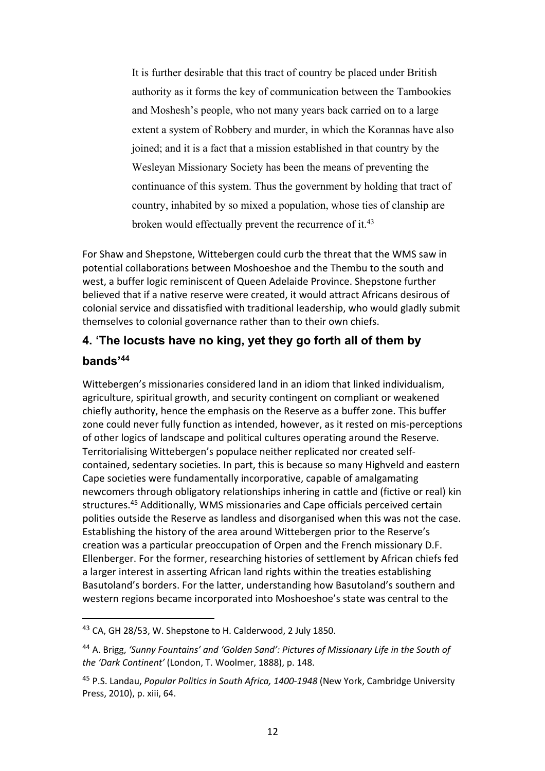It is further desirable that this tract of country be placed under British authority as it forms the key of communication between the Tambookies and Moshesh's people, who not many years back carried on to a large extent a system of Robbery and murder, in which the Korannas have also joined; and it is a fact that a mission established in that country by the Wesleyan Missionary Society has been the means of preventing the continuance of this system. Thus the government by holding that tract of country, inhabited by so mixed a population, whose ties of clanship are broken would effectually prevent the recurrence of it.<sup>43</sup>

For Shaw and Shepstone, Wittebergen could curb the threat that the WMS saw in potential collaborations between Moshoeshoe and the Thembu to the south and west, a buffer logic reminiscent of Queen Adelaide Province. Shepstone further believed that if a native reserve were created, it would attract Africans desirous of colonial service and dissatisfied with traditional leadership, who would gladly submit themselves to colonial governance rather than to their own chiefs.

# **4. 'The locusts have no king, yet they go forth all of them by bands'44**

Wittebergen's missionaries considered land in an idiom that linked individualism, agriculture, spiritual growth, and security contingent on compliant or weakened chiefly authority, hence the emphasis on the Reserve as a buffer zone. This buffer zone could never fully function as intended, however, as it rested on mis-perceptions of other logics of landscape and political cultures operating around the Reserve. Territorialising Wittebergen's populace neither replicated nor created selfcontained, sedentary societies. In part, this is because so many Highveld and eastern Cape societies were fundamentally incorporative, capable of amalgamating newcomers through obligatory relationships inhering in cattle and (fictive or real) kin structures.45 Additionally, WMS missionaries and Cape officials perceived certain polities outside the Reserve as landless and disorganised when this was not the case. Establishing the history of the area around Wittebergen prior to the Reserve's creation was a particular preoccupation of Orpen and the French missionary D.F. Ellenberger. For the former, researching histories of settlement by African chiefs fed a larger interest in asserting African land rights within the treaties establishing Basutoland's borders. For the latter, understanding how Basutoland's southern and western regions became incorporated into Moshoeshoe's state was central to the

<sup>43</sup> CA, GH 28/53, W. Shepstone to H. Calderwood, 2 July 1850.

<sup>44</sup> A. Brigg, *'Sunny Fountains' and 'Golden Sand': Pictures of Missionary Life in the South of the 'Dark Continent'* (London, T. Woolmer, 1888), p. 148.

<sup>45</sup> P.S. Landau, *Popular Politics in South Africa, 1400-1948* (New York, Cambridge University Press, 2010), p. xiii, 64.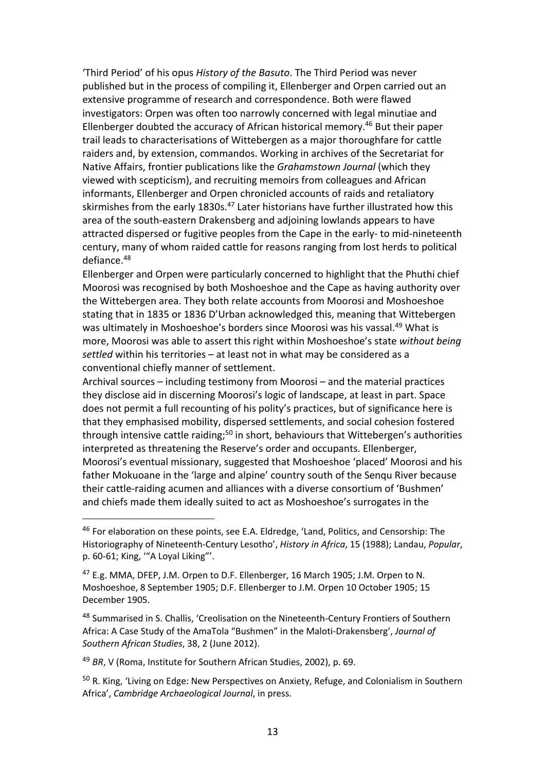'Third Period' of his opus *History of the Basuto*. The Third Period was never published but in the process of compiling it, Ellenberger and Orpen carried out an extensive programme of research and correspondence. Both were flawed investigators: Orpen was often too narrowly concerned with legal minutiae and Ellenberger doubted the accuracy of African historical memory.46 But their paper trail leads to characterisations of Wittebergen as a major thoroughfare for cattle raiders and, by extension, commandos. Working in archives of the Secretariat for Native Affairs, frontier publications like the *Grahamstown Journal* (which they viewed with scepticism), and recruiting memoirs from colleagues and African informants, Ellenberger and Orpen chronicled accounts of raids and retaliatory skirmishes from the early 1830s.<sup>47</sup> Later historians have further illustrated how this area of the south-eastern Drakensberg and adjoining lowlands appears to have attracted dispersed or fugitive peoples from the Cape in the early- to mid-nineteenth century, many of whom raided cattle for reasons ranging from lost herds to political defiance.48

Ellenberger and Orpen were particularly concerned to highlight that the Phuthi chief Moorosi was recognised by both Moshoeshoe and the Cape as having authority over the Wittebergen area. They both relate accounts from Moorosi and Moshoeshoe stating that in 1835 or 1836 D'Urban acknowledged this, meaning that Wittebergen was ultimately in Moshoeshoe's borders since Moorosi was his vassal.<sup>49</sup> What is more, Moorosi was able to assert this right within Moshoeshoe's state *without being settled* within his territories – at least not in what may be considered as a conventional chiefly manner of settlement.

Archival sources – including testimony from Moorosi – and the material practices they disclose aid in discerning Moorosi's logic of landscape, at least in part. Space does not permit a full recounting of his polity's practices, but of significance here is that they emphasised mobility, dispersed settlements, and social cohesion fostered through intensive cattle raiding;<sup>50</sup> in short, behaviours that Wittebergen's authorities interpreted as threatening the Reserve's order and occupants. Ellenberger, Moorosi's eventual missionary, suggested that Moshoeshoe 'placed' Moorosi and his father Mokuoane in the 'large and alpine' country south of the Senqu River because their cattle-raiding acumen and alliances with a diverse consortium of 'Bushmen' and chiefs made them ideally suited to act as Moshoeshoe's surrogates in the

<sup>48</sup> Summarised in S. Challis, 'Creolisation on the Nineteenth-Century Frontiers of Southern Africa: A Case Study of the AmaTola "Bushmen" in the Maloti-Drakensberg', *Journal of Southern African Studies*, 38, 2 (June 2012).

<sup>49</sup> *BR*, V (Roma, Institute for Southern African Studies, 2002), p. 69.

<sup>50</sup> R. King, 'Living on Edge: New Perspectives on Anxiety, Refuge, and Colonialism in Southern Africa', *Cambridge Archaeological Journal*, in press.

<sup>46</sup> For elaboration on these points, see E.A. Eldredge, 'Land, Politics, and Censorship: The Historiography of Nineteenth-Century Lesotho', *History in Africa*, 15 (1988); Landau, *Popular*, p. 60-61; King, '"A Loyal Liking"'.

<sup>47</sup> E.g. MMA, DFEP, J.M. Orpen to D.F. Ellenberger, 16 March 1905; J.M. Orpen to N. Moshoeshoe, 8 September 1905; D.F. Ellenberger to J.M. Orpen 10 October 1905; 15 December 1905.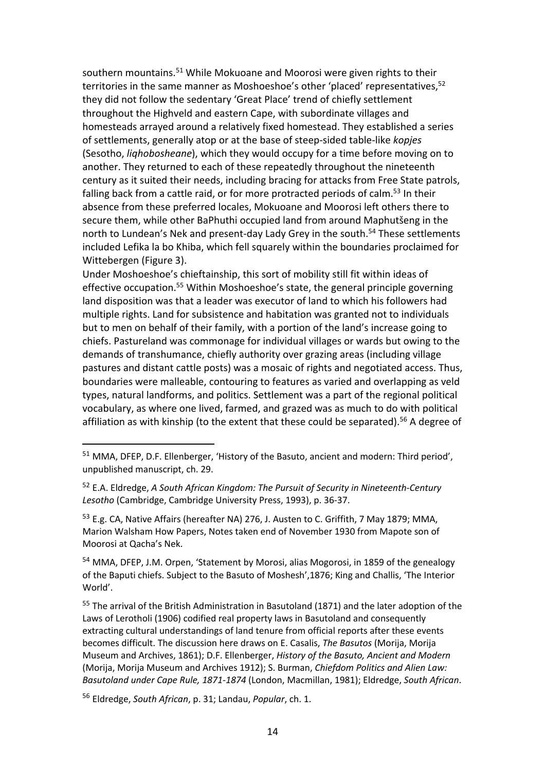southern mountains.<sup>51</sup> While Mokuoane and Moorosi were given rights to their territories in the same manner as Moshoeshoe's other 'placed' representatives,<sup>52</sup> they did not follow the sedentary 'Great Place' trend of chiefly settlement throughout the Highveld and eastern Cape, with subordinate villages and homesteads arrayed around a relatively fixed homestead. They established a series of settlements, generally atop or at the base of steep-sided table-like *kopjes* (Sesotho, *liqhobosheane*), which they would occupy for a time before moving on to another. They returned to each of these repeatedly throughout the nineteenth century as it suited their needs, including bracing for attacks from Free State patrols, falling back from a cattle raid, or for more protracted periods of calm.<sup>53</sup> In their absence from these preferred locales, Mokuoane and Moorosi left others there to secure them, while other BaPhuthi occupied land from around Maphutšeng in the north to Lundean's Nek and present-day Lady Grey in the south.<sup>54</sup> These settlements included Lefika la bo Khiba, which fell squarely within the boundaries proclaimed for Wittebergen (Figure 3).

Under Moshoeshoe's chieftainship, this sort of mobility still fit within ideas of effective occupation.<sup>55</sup> Within Moshoeshoe's state, the general principle governing land disposition was that a leader was executor of land to which his followers had multiple rights. Land for subsistence and habitation was granted not to individuals but to men on behalf of their family, with a portion of the land's increase going to chiefs. Pastureland was commonage for individual villages or wards but owing to the demands of transhumance, chiefly authority over grazing areas (including village pastures and distant cattle posts) was a mosaic of rights and negotiated access. Thus, boundaries were malleable, contouring to features as varied and overlapping as veld types, natural landforms, and politics. Settlement was a part of the regional political vocabulary, as where one lived, farmed, and grazed was as much to do with political affiliation as with kinship (to the extent that these could be separated).<sup>56</sup> A degree of

<sup>53</sup> E.g. CA, Native Affairs (hereafter NA) 276, J. Austen to C. Griffith, 7 May 1879; MMA, Marion Walsham How Papers, Notes taken end of November 1930 from Mapote son of Moorosi at Qacha's Nek.

<sup>51</sup> MMA, DFEP, D.F. Ellenberger, 'History of the Basuto, ancient and modern: Third period', unpublished manuscript, ch. 29.

<sup>52</sup> E.A. Eldredge, *A South African Kingdom: The Pursuit of Security in Nineteenth-Century Lesotho* (Cambridge, Cambridge University Press, 1993), p. 36-37.

<sup>54</sup> MMA, DFEP, J.M. Orpen, 'Statement by Morosi, alias Mogorosi, in 1859 of the genealogy of the Baputi chiefs. Subject to the Basuto of Moshesh',1876; King and Challis, 'The Interior World'.

<sup>&</sup>lt;sup>55</sup> The arrival of the British Administration in Basutoland (1871) and the later adoption of the Laws of Lerotholi (1906) codified real property laws in Basutoland and consequently extracting cultural understandings of land tenure from official reports after these events becomes difficult. The discussion here draws on E. Casalis, *The Basutos* (Morija, Morija Museum and Archives, 1861); D.F. Ellenberger, *History of the Basuto, Ancient and Modern* (Morija, Morija Museum and Archives 1912); S. Burman, *Chiefdom Politics and Alien Law: Basutoland under Cape Rule, 1871-1874* (London, Macmillan, 1981); Eldredge, *South African*.

<sup>56</sup> Eldredge, *South African*, p. 31; Landau, *Popular*, ch. 1.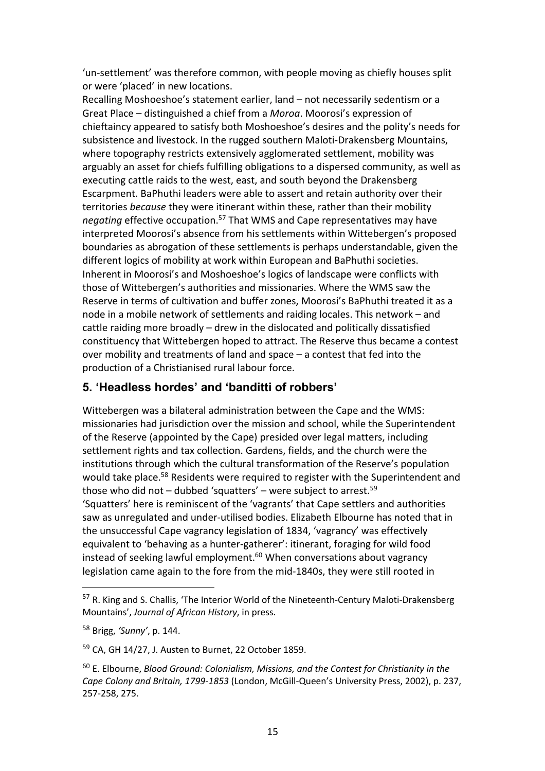'un-settlement' was therefore common, with people moving as chiefly houses split or were 'placed' in new locations.

Recalling Moshoeshoe's statement earlier, land – not necessarily sedentism or a Great Place – distinguished a chief from a *Moroa*. Moorosi's expression of chieftaincy appeared to satisfy both Moshoeshoe's desires and the polity's needs for subsistence and livestock. In the rugged southern Maloti-Drakensberg Mountains, where topography restricts extensively agglomerated settlement, mobility was arguably an asset for chiefs fulfilling obligations to a dispersed community, as well as executing cattle raids to the west, east, and south beyond the Drakensberg Escarpment. BaPhuthi leaders were able to assert and retain authority over their territories *because* they were itinerant within these, rather than their mobility *negating* effective occupation.57 That WMS and Cape representatives may have interpreted Moorosi's absence from his settlements within Wittebergen's proposed boundaries as abrogation of these settlements is perhaps understandable, given the different logics of mobility at work within European and BaPhuthi societies. Inherent in Moorosi's and Moshoeshoe's logics of landscape were conflicts with those of Wittebergen's authorities and missionaries. Where the WMS saw the Reserve in terms of cultivation and buffer zones, Moorosi's BaPhuthi treated it as a node in a mobile network of settlements and raiding locales. This network – and cattle raiding more broadly – drew in the dislocated and politically dissatisfied constituency that Wittebergen hoped to attract. The Reserve thus became a contest over mobility and treatments of land and space – a contest that fed into the production of a Christianised rural labour force.

## **5. 'Headless hordes' and 'banditti of robbers'**

Wittebergen was a bilateral administration between the Cape and the WMS: missionaries had jurisdiction over the mission and school, while the Superintendent of the Reserve (appointed by the Cape) presided over legal matters, including settlement rights and tax collection. Gardens, fields, and the church were the institutions through which the cultural transformation of the Reserve's population would take place.<sup>58</sup> Residents were required to register with the Superintendent and those who did not – dubbed 'squatters' – were subject to arrest.<sup>59</sup> 'Squatters' here is reminiscent of the 'vagrants' that Cape settlers and authorities saw as unregulated and under-utilised bodies. Elizabeth Elbourne has noted that in the unsuccessful Cape vagrancy legislation of 1834, 'vagrancy' was effectively equivalent to 'behaving as a hunter-gatherer': itinerant, foraging for wild food instead of seeking lawful employment. $60$  When conversations about vagrancy legislation came again to the fore from the mid-1840s, they were still rooted in

<sup>&</sup>lt;sup>57</sup> R. King and S. Challis, 'The Interior World of the Nineteenth-Century Maloti-Drakensberg Mountains', *Journal of African History*, in press.

<sup>58</sup> Brigg, *'Sunny'*, p. 144.

<sup>59</sup> CA, GH 14/27, J. Austen to Burnet, 22 October 1859.

<sup>60</sup> E. Elbourne, *Blood Ground: Colonialism, Missions, and the Contest for Christianity in the Cape Colony and Britain, 1799-1853* (London, McGill-Queen's University Press, 2002), p. 237, 257-258, 275.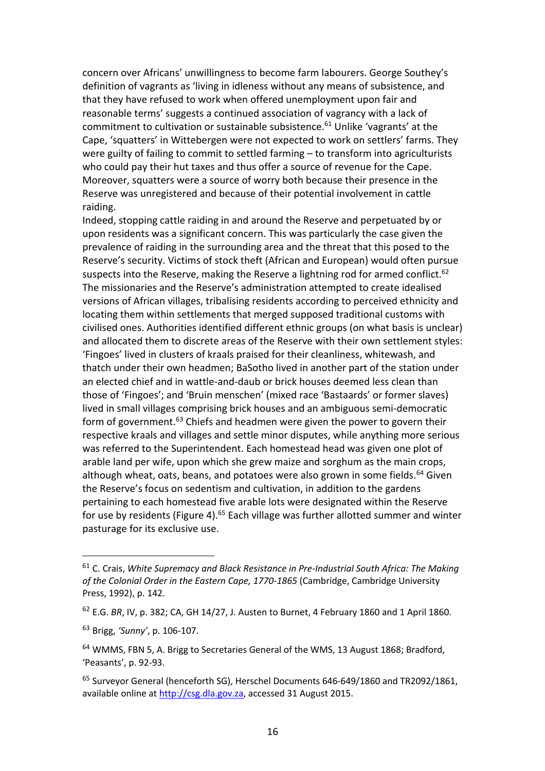concern over Africans' unwillingness to become farm labourers. George Southey's definition of vagrants as 'living in idleness without any means of subsistence, and that they have refused to work when offered unemployment upon fair and reasonable terms' suggests a continued association of vagrancy with a lack of commitment to cultivation or sustainable subsistence.<sup>61</sup> Unlike 'vagrants' at the Cape, 'squatters' in Wittebergen were not expected to work on settlers' farms. They were guilty of failing to commit to settled farming – to transform into agriculturists who could pay their hut taxes and thus offer a source of revenue for the Cape. Moreover, squatters were a source of worry both because their presence in the Reserve was unregistered and because of their potential involvement in cattle raiding.

Indeed, stopping cattle raiding in and around the Reserve and perpetuated by or upon residents was a significant concern. This was particularly the case given the prevalence of raiding in the surrounding area and the threat that this posed to the Reserve's security. Victims of stock theft (African and European) would often pursue suspects into the Reserve, making the Reserve a lightning rod for armed conflict. $62$ The missionaries and the Reserve's administration attempted to create idealised versions of African villages, tribalising residents according to perceived ethnicity and locating them within settlements that merged supposed traditional customs with civilised ones. Authorities identified different ethnic groups (on what basis is unclear) and allocated them to discrete areas of the Reserve with their own settlement styles: 'Fingoes' lived in clusters of kraals praised for their cleanliness, whitewash, and thatch under their own headmen; BaSotho lived in another part of the station under an elected chief and in wattle-and-daub or brick houses deemed less clean than those of 'Fingoes'; and 'Bruin menschen' (mixed race 'Bastaards' or former slaves) lived in small villages comprising brick houses and an ambiguous semi-democratic form of government.<sup>63</sup> Chiefs and headmen were given the power to govern their respective kraals and villages and settle minor disputes, while anything more serious was referred to the Superintendent. Each homestead head was given one plot of arable land per wife, upon which she grew maize and sorghum as the main crops, although wheat, oats, beans, and potatoes were also grown in some fields. $64$  Given the Reserve's focus on sedentism and cultivation, in addition to the gardens pertaining to each homestead five arable lots were designated within the Reserve for use by residents (Figure 4).<sup>65</sup> Each village was further allotted summer and winter pasturage for its exclusive use.

<sup>61</sup> C. Crais, *White Supremacy and Black Resistance in Pre-Industrial South Africa: The Making of the Colonial Order in the Eastern Cape, 1770-1865* (Cambridge, Cambridge University Press, 1992), p. 142.

<sup>62</sup> E.G. *BR*, IV, p. 382; CA, GH 14/27, J. Austen to Burnet, 4 February 1860 and 1 April 1860.

<sup>63</sup> Brigg, *'Sunny'*, p. 106-107.

<sup>64</sup> WMMS, FBN 5, A. Brigg to Secretaries General of the WMS, 13 August 1868; Bradford, 'Peasants', p. 92-93.

<sup>65</sup> Surveyor General (henceforth SG), Herschel Documents 646-649/1860 and TR2092/1861, available online at http://csg.dla.gov.za, accessed 31 August 2015.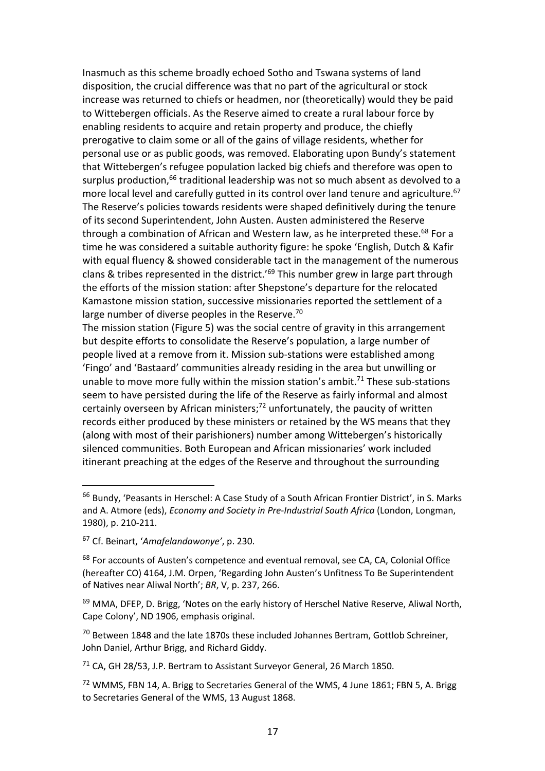Inasmuch as this scheme broadly echoed Sotho and Tswana systems of land disposition, the crucial difference was that no part of the agricultural or stock increase was returned to chiefs or headmen, nor (theoretically) would they be paid to Wittebergen officials. As the Reserve aimed to create a rural labour force by enabling residents to acquire and retain property and produce, the chiefly prerogative to claim some or all of the gains of village residents, whether for personal use or as public goods, was removed. Elaborating upon Bundy's statement that Wittebergen's refugee population lacked big chiefs and therefore was open to surplus production,<sup>66</sup> traditional leadership was not so much absent as devolved to a more local level and carefully gutted in its control over land tenure and agriculture.<sup>67</sup> The Reserve's policies towards residents were shaped definitively during the tenure of its second Superintendent, John Austen. Austen administered the Reserve through a combination of African and Western law, as he interpreted these.<sup>68</sup> For a time he was considered a suitable authority figure: he spoke 'English, Dutch & Kafir with equal fluency & showed considerable tact in the management of the numerous clans & tribes represented in the district.<sup>'69</sup> This number grew in large part through the efforts of the mission station: after Shepstone's departure for the relocated Kamastone mission station, successive missionaries reported the settlement of a large number of diverse peoples in the Reserve.<sup>70</sup>

The mission station (Figure 5) was the social centre of gravity in this arrangement but despite efforts to consolidate the Reserve's population, a large number of people lived at a remove from it. Mission sub-stations were established among 'Fingo' and 'Bastaard' communities already residing in the area but unwilling or unable to move more fully within the mission station's ambit.<sup>71</sup> These sub-stations seem to have persisted during the life of the Reserve as fairly informal and almost certainly overseen by African ministers;72 unfortunately, the paucity of written records either produced by these ministers or retained by the WS means that they (along with most of their parishioners) number among Wittebergen's historically silenced communities. Both European and African missionaries' work included itinerant preaching at the edges of the Reserve and throughout the surrounding

<sup>66</sup> Bundy, 'Peasants in Herschel: A Case Study of a South African Frontier District', in S. Marks and A. Atmore (eds), *Economy and Society in Pre-Industrial South Africa* (London, Longman, 1980), p. 210-211.

<sup>67</sup> Cf. Beinart, '*Amafelandawonye'*, p. 230.

<sup>&</sup>lt;sup>68</sup> For accounts of Austen's competence and eventual removal, see CA, CA, Colonial Office (hereafter CO) 4164, J.M. Orpen, 'Regarding John Austen's Unfitness To Be Superintendent of Natives near Aliwal North'; *BR*, V, p. 237, 266.

 $69$  MMA, DFEP, D. Brigg, 'Notes on the early history of Herschel Native Reserve, Aliwal North, Cape Colony', ND 1906, emphasis original.

<sup>&</sup>lt;sup>70</sup> Between 1848 and the late 1870s these included Johannes Bertram, Gottlob Schreiner, John Daniel, Arthur Brigg, and Richard Giddy.

<sup>&</sup>lt;sup>71</sup> CA, GH 28/53, J.P. Bertram to Assistant Surveyor General, 26 March 1850.

<sup>&</sup>lt;sup>72</sup> WMMS, FBN 14, A. Brigg to Secretaries General of the WMS, 4 June 1861; FBN 5, A. Brigg to Secretaries General of the WMS, 13 August 1868.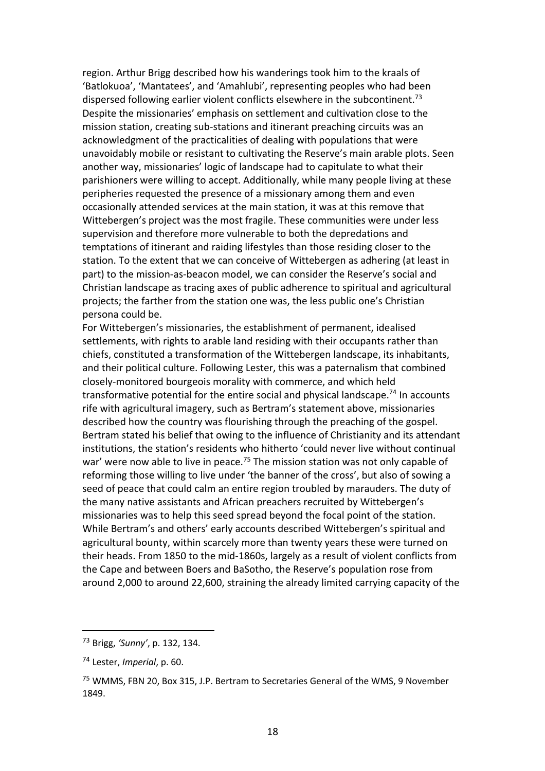region. Arthur Brigg described how his wanderings took him to the kraals of 'Batlokuoa', 'Mantatees', and 'Amahlubi', representing peoples who had been dispersed following earlier violent conflicts elsewhere in the subcontinent.<sup>73</sup> Despite the missionaries' emphasis on settlement and cultivation close to the mission station, creating sub-stations and itinerant preaching circuits was an acknowledgment of the practicalities of dealing with populations that were unavoidably mobile or resistant to cultivating the Reserve's main arable plots. Seen another way, missionaries' logic of landscape had to capitulate to what their parishioners were willing to accept. Additionally, while many people living at these peripheries requested the presence of a missionary among them and even occasionally attended services at the main station, it was at this remove that Wittebergen's project was the most fragile. These communities were under less supervision and therefore more vulnerable to both the depredations and temptations of itinerant and raiding lifestyles than those residing closer to the station. To the extent that we can conceive of Wittebergen as adhering (at least in part) to the mission-as-beacon model, we can consider the Reserve's social and Christian landscape as tracing axes of public adherence to spiritual and agricultural projects; the farther from the station one was, the less public one's Christian persona could be.

For Wittebergen's missionaries, the establishment of permanent, idealised settlements, with rights to arable land residing with their occupants rather than chiefs, constituted a transformation of the Wittebergen landscape, its inhabitants, and their political culture. Following Lester, this was a paternalism that combined closely-monitored bourgeois morality with commerce, and which held transformative potential for the entire social and physical landscape.<sup>74</sup> In accounts rife with agricultural imagery, such as Bertram's statement above, missionaries described how the country was flourishing through the preaching of the gospel. Bertram stated his belief that owing to the influence of Christianity and its attendant institutions, the station's residents who hitherto 'could never live without continual war' were now able to live in peace.<sup>75</sup> The mission station was not only capable of reforming those willing to live under 'the banner of the cross', but also of sowing a seed of peace that could calm an entire region troubled by marauders. The duty of the many native assistants and African preachers recruited by Wittebergen's missionaries was to help this seed spread beyond the focal point of the station. While Bertram's and others' early accounts described Wittebergen's spiritual and agricultural bounty, within scarcely more than twenty years these were turned on their heads. From 1850 to the mid-1860s, largely as a result of violent conflicts from the Cape and between Boers and BaSotho, the Reserve's population rose from around 2,000 to around 22,600, straining the already limited carrying capacity of the

<sup>73</sup> Brigg, *'Sunny'*, p. 132, 134.

<sup>74</sup> Lester, *Imperial*, p. 60.

<sup>75</sup> WMMS, FBN 20, Box 315, J.P. Bertram to Secretaries General of the WMS, 9 November 1849.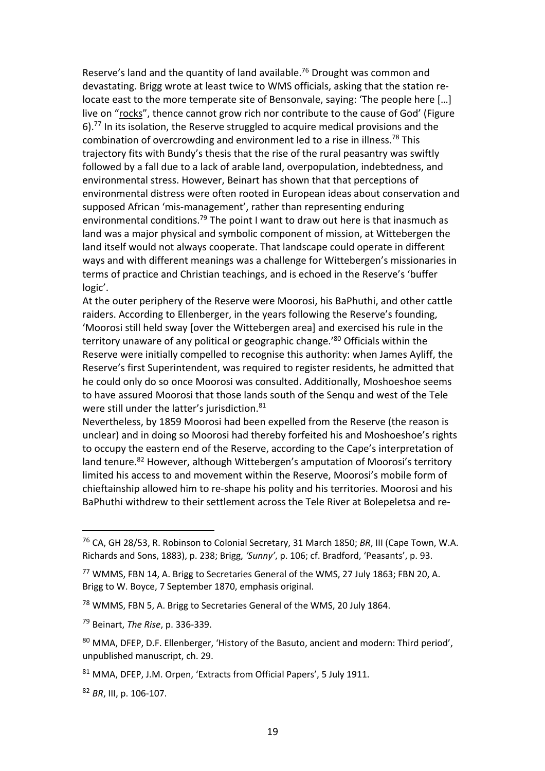Reserve's land and the quantity of land available.<sup>76</sup> Drought was common and devastating. Brigg wrote at least twice to WMS officials, asking that the station relocate east to the more temperate site of Bensonvale, saying: 'The people here […] live on "rocks", thence cannot grow rich nor contribute to the cause of God' (Figure 6).77 In its isolation, the Reserve struggled to acquire medical provisions and the combination of overcrowding and environment led to a rise in illness.<sup>78</sup> This trajectory fits with Bundy's thesis that the rise of the rural peasantry was swiftly followed by a fall due to a lack of arable land, overpopulation, indebtedness, and environmental stress. However, Beinart has shown that that perceptions of environmental distress were often rooted in European ideas about conservation and supposed African 'mis-management', rather than representing enduring environmental conditions.<sup>79</sup> The point I want to draw out here is that inasmuch as land was a major physical and symbolic component of mission, at Wittebergen the land itself would not always cooperate. That landscape could operate in different ways and with different meanings was a challenge for Wittebergen's missionaries in terms of practice and Christian teachings, and is echoed in the Reserve's 'buffer logic'.

At the outer periphery of the Reserve were Moorosi, his BaPhuthi, and other cattle raiders. According to Ellenberger, in the years following the Reserve's founding, 'Moorosi still held sway [over the Wittebergen area] and exercised his rule in the territory unaware of any political or geographic change.'80 Officials within the Reserve were initially compelled to recognise this authority: when James Ayliff, the Reserve's first Superintendent, was required to register residents, he admitted that he could only do so once Moorosi was consulted. Additionally, Moshoeshoe seems to have assured Moorosi that those lands south of the Senqu and west of the Tele were still under the latter's jurisdiction.<sup>81</sup>

Nevertheless, by 1859 Moorosi had been expelled from the Reserve (the reason is unclear) and in doing so Moorosi had thereby forfeited his and Moshoeshoe's rights to occupy the eastern end of the Reserve, according to the Cape's interpretation of land tenure.<sup>82</sup> However, although Wittebergen's amputation of Moorosi's territory limited his access to and movement within the Reserve, Moorosi's mobile form of chieftainship allowed him to re-shape his polity and his territories. Moorosi and his BaPhuthi withdrew to their settlement across the Tele River at Bolepeletsa and re-

<sup>76</sup> CA, GH 28/53, R. Robinson to Colonial Secretary, 31 March 1850; *BR*, III (Cape Town, W.A. Richards and Sons, 1883), p. 238; Brigg, *'Sunny'*, p. 106; cf. Bradford, 'Peasants', p. 93.

<sup>77</sup> WMMS, FBN 14, A. Brigg to Secretaries General of the WMS, 27 July 1863; FBN 20, A. Brigg to W. Boyce, 7 September 1870, emphasis original.

<sup>&</sup>lt;sup>78</sup> WMMS, FBN 5, A. Brigg to Secretaries General of the WMS, 20 July 1864.

<sup>79</sup> Beinart, *The Rise*, p. 336-339.

<sup>80</sup> MMA, DFEP, D.F. Ellenberger, 'History of the Basuto, ancient and modern: Third period', unpublished manuscript, ch. 29.

<sup>81</sup> MMA, DFEP, J.M. Orpen, 'Extracts from Official Papers', 5 July 1911.

<sup>82</sup> *BR*, III, p. 106-107.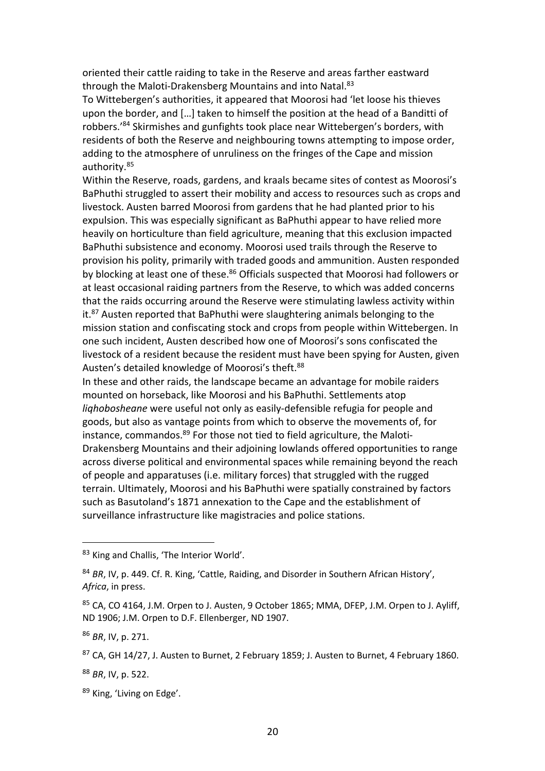oriented their cattle raiding to take in the Reserve and areas farther eastward through the Maloti-Drakensberg Mountains and into Natal.<sup>83</sup>

To Wittebergen's authorities, it appeared that Moorosi had 'let loose his thieves upon the border, and […] taken to himself the position at the head of a Banditti of robbers.'84 Skirmishes and gunfights took place near Wittebergen's borders, with residents of both the Reserve and neighbouring towns attempting to impose order, adding to the atmosphere of unruliness on the fringes of the Cape and mission authority.85

Within the Reserve, roads, gardens, and kraals became sites of contest as Moorosi's BaPhuthi struggled to assert their mobility and access to resources such as crops and livestock. Austen barred Moorosi from gardens that he had planted prior to his expulsion. This was especially significant as BaPhuthi appear to have relied more heavily on horticulture than field agriculture, meaning that this exclusion impacted BaPhuthi subsistence and economy. Moorosi used trails through the Reserve to provision his polity, primarily with traded goods and ammunition. Austen responded by blocking at least one of these.<sup>86</sup> Officials suspected that Moorosi had followers or at least occasional raiding partners from the Reserve, to which was added concerns that the raids occurring around the Reserve were stimulating lawless activity within it.<sup>87</sup> Austen reported that BaPhuthi were slaughtering animals belonging to the mission station and confiscating stock and crops from people within Wittebergen. In one such incident, Austen described how one of Moorosi's sons confiscated the livestock of a resident because the resident must have been spying for Austen, given Austen's detailed knowledge of Moorosi's theft.<sup>88</sup>

In these and other raids, the landscape became an advantage for mobile raiders mounted on horseback, like Moorosi and his BaPhuthi. Settlements atop *liqhobosheane* were useful not only as easily-defensible refugia for people and goods, but also as vantage points from which to observe the movements of, for instance, commandos.<sup>89</sup> For those not tied to field agriculture, the Maloti-Drakensberg Mountains and their adjoining lowlands offered opportunities to range across diverse political and environmental spaces while remaining beyond the reach of people and apparatuses (i.e. military forces) that struggled with the rugged terrain. Ultimately, Moorosi and his BaPhuthi were spatially constrained by factors such as Basutoland's 1871 annexation to the Cape and the establishment of surveillance infrastructure like magistracies and police stations.

<sup>86</sup> *BR*, IV, p. 271.

<sup>88</sup> *BR*, IV, p. 522.

<sup>83</sup> King and Challis, 'The Interior World'.

<sup>84</sup> *BR*, IV, p. 449. Cf. R. King, 'Cattle, Raiding, and Disorder in Southern African History', *Africa*, in press.

<sup>&</sup>lt;sup>85</sup> CA, CO 4164, J.M. Orpen to J. Austen, 9 October 1865; MMA, DFEP, J.M. Orpen to J. Ayliff, ND 1906; J.M. Orpen to D.F. Ellenberger, ND 1907.

 $87$  CA, GH 14/27, J. Austen to Burnet, 2 February 1859; J. Austen to Burnet, 4 February 1860.

<sup>89</sup> King, 'Living on Edge'.